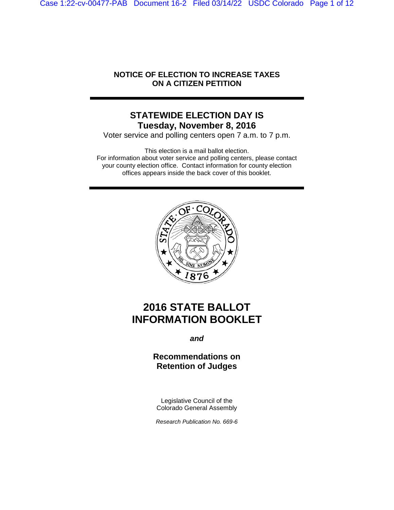Case 1:22-cv-00477-PAB Document 16-2 Filed 03/14/22 USDC Colorado Page 1 of 12

## **NOTICE OF ELECTION TO INCREASE TAXES ON A CITIZEN PETITION**

## **STATEWIDE ELECTION DAY IS Tuesday, November 8, 2016**

Voter service and polling centers open 7 a.m. to 7 p.m.

This election is a mail ballot election. For information about voter service and polling centers, please contact your county election office. Contact information for county election offices appears inside the back cover of this booklet.



# **2016 STATE BALLOT INFORMATION BOOKLET**

*and*

## **Recommendations on Retention of Judges**

Legislative Council of the Colorado General Assembly

*Research Publication No. 669-6*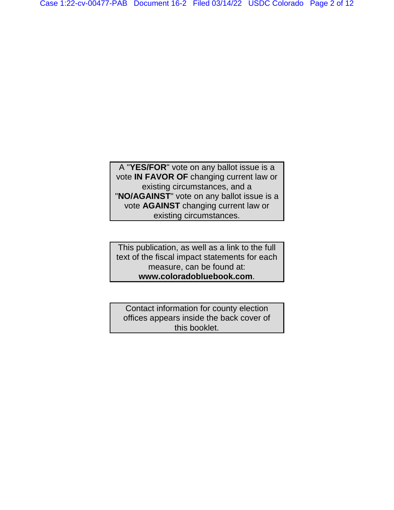A "**YES/FOR**" vote on any ballot issue is a vote **IN FAVOR OF** changing current law or existing circumstances, and a "**NO/AGAINST**" vote on any ballot issue is a vote **AGAINST** changing current law or existing circumstances.

This publication, as well as a link to the full text of the fiscal impact statements for each measure, can be found at: **www.coloradobluebook.com**.

Contact information for county election offices appears inside the back cover of this booklet.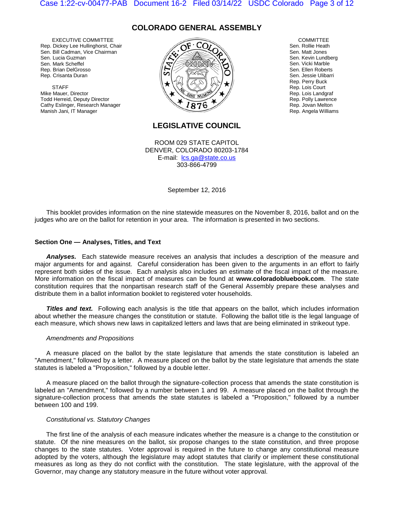## **COLORADO GENERAL ASSEMBLY**

EXECUTIVE COMMITTEE Rep. Dickey Lee Hullinghorst, Chair Sen. Bill Cadman, Vice Chairman Sen. Lucia Guzman Sen. Mark Scheffel Rep. Brian DelGrosso Rep. Crisanta Duran

**STAFF** Mike Mauer, Director Todd Herreid, Deputy Director Cathy Eslinger, Research Manager Manish Jani, IT Manager



**COMMITTEE** Sen. Rollie Heath Sen. Matt Jones Sen. Kevin Lundberg Sen. Vicki Marble Sen. Ellen Roberts Sen. Jessie Ulibarri Rep. Perry Buck Rep. Lois Court Rep. Lois Landgraf Rep. Polly Lawrence Rep. Jovan Melton Rep. Angela Williams

## **LEGISLATIVE COUNCIL**

ROOM 029 STATE CAPITOL DENVER, COLORADO 80203-1784 E-mail: lcs.ga@state.co.us 303-866-4799

September 12, 2016

This booklet provides information on the nine statewide measures on the November 8, 2016, ballot and on the judges who are on the ballot for retention in your area. The information is presented in two sections.

### **Section One — Analyses, Titles, and Text**

*Analyses.* Each statewide measure receives an analysis that includes a description of the measure and major arguments for and against. Careful consideration has been given to the arguments in an effort to fairly represent both sides of the issue. Each analysis also includes an estimate of the fiscal impact of the measure. More information on the fiscal impact of measures can be found at **www.coloradobluebook.com**. The state constitution requires that the nonpartisan research staff of the General Assembly prepare these analyses and distribute them in a ballot information booklet to registered voter households.

**Titles and text.** Following each analysis is the title that appears on the ballot, which includes information about whether the measure changes the constitution or statute. Following the ballot title is the legal language of each measure, which shows new laws in capitalized letters and laws that are being eliminated in strikeout type.

#### *Amendments and Propositions*

A measure placed on the ballot by the state legislature that amends the state constitution is labeled an "Amendment," followed by a letter. A measure placed on the ballot by the state legislature that amends the state statutes is labeled a "Proposition," followed by a double letter.

A measure placed on the ballot through the signature-collection process that amends the state constitution is labeled an "Amendment," followed by a number between 1 and 99. A measure placed on the ballot through the signature-collection process that amends the state statutes is labeled a "Proposition," followed by a number between 100 and 199.

#### *Constitutional vs. Statutory Changes*

The first line of the analysis of each measure indicates whether the measure is a change to the constitution or statute. Of the nine measures on the ballot, six propose changes to the state constitution, and three propose changes to the state statutes. Voter approval is required in the future to change any constitutional measure adopted by the voters, although the legislature may adopt statutes that clarify or implement these constitutional measures as long as they do not conflict with the constitution. The state legislature, with the approval of the Governor, may change any statutory measure in the future without voter approval.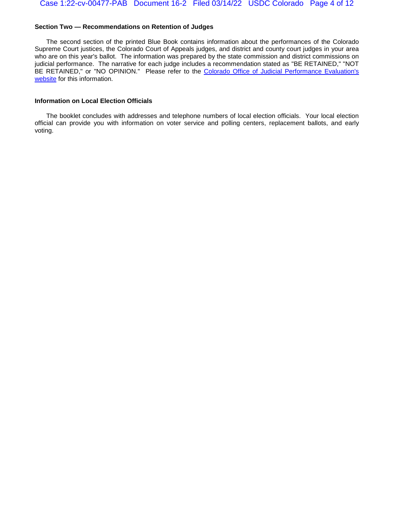### **Section Two — Recommendations on Retention of Judges**

The second section of the printed Blue Book contains information about the performances of the Colorado Supreme Court justices, the Colorado Court of Appeals judges, and district and county court judges in your area who are on this year's ballot. The information was prepared by the state commission and district commissions on judicial performance. The narrative for each judge includes a recommendation stated as "BE RETAINED," "NOT BE RETAINED," or "NO OPINION." Please refer to the Colorado Office of Judicial Performance Evaluation's [website](http://www.coloradojudicialperformance.gov/review.cfm?year=2016) for this information.

### **Information on Local Election Officials**

The booklet concludes with addresses and telephone numbers of local election officials. Your local election official can provide you with information on voter service and polling centers, replacement ballots, and early voting.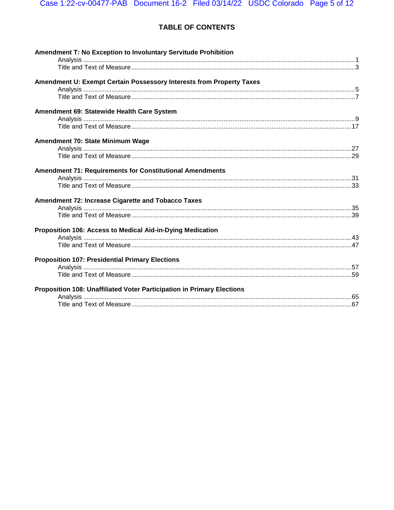## TABLE OF CONTENTS

| <b>Amendment T: No Exception to Involuntary Servitude Prohibition</b>  |  |
|------------------------------------------------------------------------|--|
|                                                                        |  |
| Amendment U: Exempt Certain Possessory Interests from Property Taxes   |  |
|                                                                        |  |
|                                                                        |  |
| Amendment 69: Statewide Health Care System                             |  |
|                                                                        |  |
|                                                                        |  |
| Amendment 70: State Minimum Wage                                       |  |
|                                                                        |  |
|                                                                        |  |
| <b>Amendment 71: Requirements for Constitutional Amendments</b>        |  |
|                                                                        |  |
|                                                                        |  |
| Amendment 72: Increase Cigarette and Tobacco Taxes                     |  |
|                                                                        |  |
|                                                                        |  |
| Proposition 106: Access to Medical Aid-in-Dying Medication             |  |
|                                                                        |  |
|                                                                        |  |
| <b>Proposition 107: Presidential Primary Elections</b>                 |  |
|                                                                        |  |
|                                                                        |  |
| Proposition 108: Unaffiliated Voter Participation in Primary Elections |  |
|                                                                        |  |
|                                                                        |  |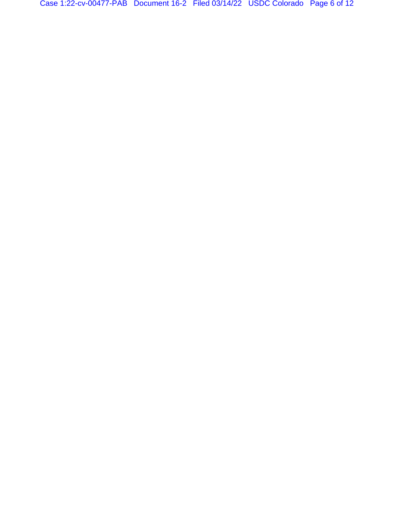Case 1:22-cv-00477-PAB Document 16-2 Filed 03/14/22 USDC Colorado Page 6 of 12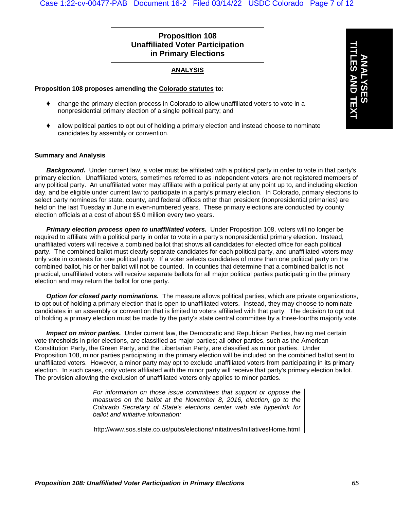## **Proposition 108 Unaffiliated Voter Participation in Primary Elections**

## **ANALYSIS**

## **Proposition 108 proposes amending the Colorado statutes to:**

- change the primary election process in Colorado to allow unaffiliated voters to vote in a nonpresidential primary election of a single political party; and
- allow political parties to opt out of holding a primary election and instead choose to nominate candidates by assembly or convention.

## **Summary and Analysis**

*Background.* Under current law, a voter must be affiliated with a political party in order to vote in that party's primary election. Unaffiliated voters, sometimes referred to as independent voters, are not registered members of any political party. An unaffiliated voter may affiliate with a political party at any point up to, and including election day, and be eligible under current law to participate in a party's primary election. In Colorado, primary elections to select party nominees for state, county, and federal offices other than president (nonpresidential primaries) are held on the last Tuesday in June in even-numbered years. These primary elections are conducted by county election officials at a cost of about \$5.0 million every two years.

*Primary election process open to unaffiliated voters.* Under Proposition 108, voters will no longer be required to affiliate with a political party in order to vote in a party's nonpresidential primary election. Instead, unaffiliated voters will receive a combined ballot that shows all candidates for elected office for each political party. The combined ballot must clearly separate candidates for each political party, and unaffiliated voters may only vote in contests for one political party. If a voter selects candidates of more than one political party on the combined ballot, his or her ballot will not be counted. In counties that determine that a combined ballot is not practical, unaffiliated voters will receive separate ballots for all major political parties participating in the primary election and may return the ballot for one party.

*Option for closed party nominations.* The measure allows political parties, which are private organizations, to opt out of holding a primary election that is open to unaffiliated voters. Instead, they may choose to nominate candidates in an assembly or convention that is limited to voters affiliated with that party. The decision to opt out of holding a primary election must be made by the party's state central committee by a three-fourths majority vote.

*Impact on minor parties.* Under current law, the Democratic and Republican Parties, having met certain vote thresholds in prior elections, are classified as major parties; all other parties, such as the American Constitution Party, the Green Party, and the Libertarian Party, are classified as minor parties. Under Proposition 108, minor parties participating in the primary election will be included on the combined ballot sent to unaffiliated voters. However, a minor party may opt to exclude unaffiliated voters from participating in its primary election. In such cases, only voters affiliated with the minor party will receive that party's primary election ballot. The provision allowing the exclusion of unaffiliated voters only applies to minor parties.

> *For information on those issue committees that support or oppose the measures on the ballot at the November 8, 2016, election, go to the Colorado Secretary of State's elections center web site hyperlink for ballot and initiative information:*

> http://www.sos.state.co.us/pubs/elections/Initiatives/InitiativesHome.html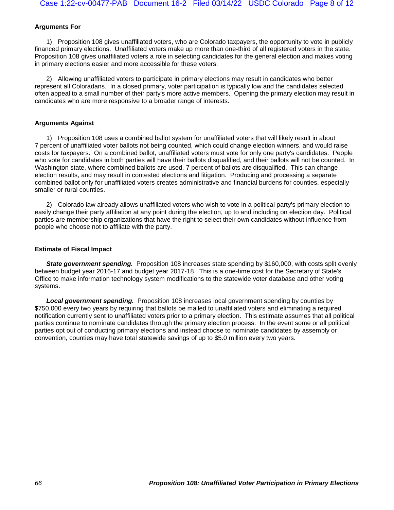## **Arguments For**

1) Proposition 108 gives unaffiliated voters, who are Colorado taxpayers, the opportunity to vote in publicly financed primary elections. Unaffiliated voters make up more than one-third of all registered voters in the state. Proposition 108 gives unaffiliated voters a role in selecting candidates for the general election and makes voting in primary elections easier and more accessible for these voters.

2) Allowing unaffiliated voters to participate in primary elections may result in candidates who better represent all Coloradans. In a closed primary, voter participation is typically low and the candidates selected often appeal to a small number of their party's more active members. Opening the primary election may result in candidates who are more responsive to a broader range of interests.

## **Arguments Against**

1) Proposition 108 uses a combined ballot system for unaffiliated voters that will likely result in about 7 percent of unaffiliated voter ballots not being counted, which could change election winners, and would raise costs for taxpayers. On a combined ballot, unaffiliated voters must vote for only one party's candidates. People who vote for candidates in both parties will have their ballots disqualified, and their ballots will not be counted. In Washington state, where combined ballots are used, 7 percent of ballots are disqualified. This can change election results, and may result in contested elections and litigation. Producing and processing a separate combined ballot only for unaffiliated voters creates administrative and financial burdens for counties, especially smaller or rural counties.

2) Colorado law already allows unaffiliated voters who wish to vote in a political party's primary election to easily change their party affiliation at any point during the election, up to and including on election day. Political parties are membership organizations that have the right to select their own candidates without influence from people who choose not to affiliate with the party.

### **Estimate of Fiscal Impact**

**State government spending.** Proposition 108 increases state spending by \$160,000, with costs split evenly between budget year 2016-17 and budget year 2017-18. This is a one-time cost for the Secretary of State's Office to make information technology system modifications to the statewide voter database and other voting systems.

*Local government spending.* Proposition 108 increases local government spending by counties by \$750,000 every two years by requiring that ballots be mailed to unaffiliated voters and eliminating a required notification currently sent to unaffiliated voters prior to a primary election. This estimate assumes that all political parties continue to nominate candidates through the primary election process. In the event some or all political parties opt out of conducting primary elections and instead choose to nominate candidates by assembly or convention, counties may have total statewide savings of up to \$5.0 million every two years.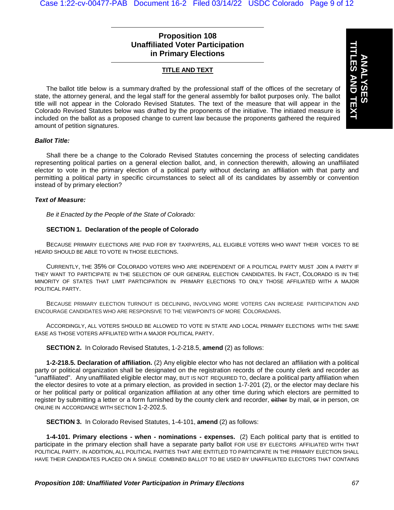## **Proposition 108 Unaffiliated Voter Participation in Primary Elections**

## **TITLE AND TEXT**

The ballot title below is a summary drafted by the professional staff of the offices of the secretary of state, the attorney general, and the legal staff for the general assembly for ballot purposes only. The ballot title will not appear in the Colorado Revised Statutes. The text of the measure that will appear in the Colorado Revised Statutes below was drafted by the proponents of the initiative. The initiated measure is included on the ballot as a proposed change to current law because the proponents gathered the required amount of petition signatures.

#### *Ballot Title:*

Shall there be a change to the Colorado Revised Statutes concerning the process of selecting candidates representing political parties on a general election ballot, and, in connection therewith, allowing an unaffiliated elector to vote in the primary election of a political party without declaring an affiliation with that party and permitting a political party in specific circumstances to select all of its candidates by assembly or convention instead of by primary election?

#### *Text of Measure:*

*Be it Enacted by the People of the State of Colorado:*

### **SECTION 1. Declaration of the people of Colorado**

BECAUSE PRIMARY ELECTIONS ARE PAID FOR BY TAXPAYERS, ALL ELIGIBLE VOTERS WHO WANT THEIR VOICES TO BE HEARD SHOULD BE ABLE TO VOTE IN THOSE ELECTIONS.

CURRENTLY, THE 35% OF COLORADO VOTERS WHO ARE INDEPENDENT OF A POLITICAL PARTY MUST JOIN A PARTY IF THEY WANT TO PARTICIPATE IN THE SELECTION OF OUR GENERAL ELECTION CANDIDATES. IN FACT, COLORADO IS IN THE MINORITY OF STATES THAT LIMIT PARTICIPATION IN PRIMARY ELECTIONS TO ONLY THOSE AFFILIATED WITH A MAJOR POLITICAL PARTY.

BECAUSE PRIMARY ELECTION TURNOUT IS DECLINING, INVOLVING MORE VOTERS CAN INCREASE PARTICIPATION AND ENCOURAGE CANDIDATES WHO ARE RESPONSIVE TO THE VIEWPOINTS OF MORE COLORADANS.

ACCORDINGLY, ALL VOTERS SHOULD BE ALLOWED TO VOTE IN STATE AND LOCAL PRIMARY ELECTIONS WITH THE SAME EASE AS THOSE VOTERS AFFILIATED WITH A MAJOR POLITICAL PARTY.

**SECTION 2.** In Colorado Revised Statutes, 1-2-218.5, **amend** (2) as follows:

**1-2-218.5. Declaration of affiliation.** (2) Any eligible elector who has not declared an affiliation with a political party or political organization shall be designated on the registration records of the county clerk and recorder as "unaffiliated". Any unaffiliated eligible elector may, BUT IS NOT REQUIRED TO, declare a political party affiliation when the elector desires to vote at a primary election, as provided in section 1-7-201 (2), or the elector may declare his or her political party or political organization affiliation at any other time during which electors are permitted to register by submitting a letter or a form furnished by the county clerk and recorder, either by mail, er in person, OR ONLINE IN ACCORDANCE WITH SECTION 1-2-202.5.

**SECTION 3.** In Colorado Revised Statutes, 1-4-101, **amend** (2) as follows:

**1-4-101. Primary elections - when - nominations - expenses.** (2) Each political party that is entitled to participate in the primary election shall have a separate party ballot FOR USE BY ELECTORS AFFILIATED WITH THAT POLITICAL PARTY. IN ADDITION, ALL POLITICAL PARTIES THAT ARE ENTITLED TO PARTICIPATE IN THE PRIMARY ELECTION SHALL HAVE THEIR CANDIDATES PLACED ON A SINGLE COMBINED BALLOT TO BE USED BY UNAFFILIATED ELECTORS THAT CONTAINS

**ANALYSES**

**TITLES AND TEXT**

**ES AND TEXT**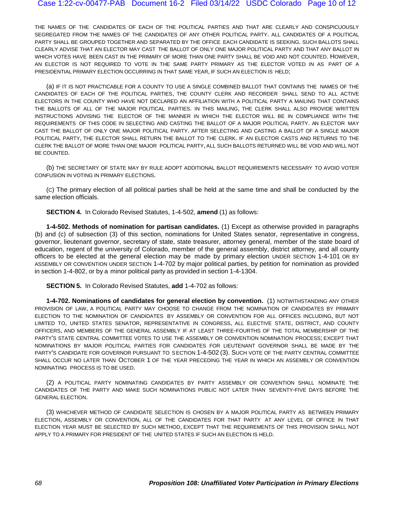THE NAMES OF THE CANDIDATES OF EACH OF THE POLITICAL PARTIES AND THAT ARE CLEARLY AND CONSPICUOUSLY SEGREGATED FROM THE NAMES OF THE CANDIDATES OF ANY OTHER POLITICAL PARTY. ALL CANDIDATES OF A POLITICAL PARTY SHALL BE GROUPED TOGETHER AND SEPARATED BY THE OFFICE EACH CANDIDATE IS SEEKING. SUCH BALLOTS SHALL CLEARLY ADVISE THAT AN ELECTOR MAY CAST THE BALLOT OF ONLY ONE MAJOR POLITICAL PARTY AND THAT ANY BALLOT IN WHICH VOTES HAVE BEEN CAST IN THE PRIMARY OF MORE THAN ONE PARTY SHALL BE VOID AND NOT COUNTED. HOWEVER, AN ELECTOR IS NOT REQUIRED TO VOTE IN THE SAME PARTY PRIMARY AS THE ELECTOR VOTED IN AS PART OF A PRESIDENTIAL PRIMARY ELECTION OCCURRING IN THAT SAME YEAR, IF SUCH AN ELECTION IS HELD;

(a) IF IT IS NOT PRACTICABLE FOR A COUNTY TO USE A SINGLE COMBINED BALLOT THAT CONTAINS THE NAMES OF THE CANDIDATES OF EACH OF THE POLITICAL PARTIES, THE COUNTY CLERK AND RECORDER SHALL SEND TO ALL ACTIVE ELECTORS IN THE COUNTY WHO HAVE NOT DECLARED AN AFFILIATION WITH A POLITICAL PARTY A MAILING THAT CONTAINS THE BALLOTS OF ALL OF THE MAJOR POLITICAL PARTIES. IN THIS MAILING, THE CLERK SHALL ALSO PROVIDE WRITTEN INSTRUCTIONS ADVISING THE ELECTOR OF THE MANNER IN WHICH THE ELECTOR WILL BE IN COMPLIANCE WITH THE REQUIREMENTS OF THIS CODE IN SELECTING AND CASTING THE BALLOT OF A MAJOR POLITICAL PARTY. AN ELECTOR MAY CAST THE BALLOT OF ONLY ONE MAJOR POLITICAL PARTY. AFTER SELECTING AND CASTING A BALLOT OF A SINGLE MAJOR POLITICAL PARTY, THE ELECTOR SHALL RETURN THE BALLOT TO THE CLERK. IF AN ELECTOR CASTS AND RETURNS TO THE CLERK THE BALLOT OF MORE THAN ONE MAJOR POLITICAL PARTY, ALL SUCH BALLOTS RETURNED WILL BE VOID AND WILL NOT BE COUNTED.

(b) THE SECRETARY OF STATE MAY BY RULE ADOPT ADDITIONAL BALLOT REQUIREMENTS NECESSARY TO AVOID VOTER CONFUSION IN VOTING IN PRIMARY ELECTIONS.

(C) The primary election of all political parties shall be held at the same time and shall be conducted by the same election officials.

**SECTION 4.** In Colorado Revised Statutes, 1-4-502, **amend** (1) as follows:

**1-4-502. Methods of nomination for partisan candidates.** (1) Except as otherwise provided in paragraphs (b) and (c) of subsection (3) of this section, nominations for United States senator, representative in congress, governor, lieutenant governor, secretary of state, state treasurer, attorney general, member of the state board of education, regent of the university of Colorado, member of the general assembly, district attorney, and all county officers to be elected at the general election may be made by primary election UNDER SECTION 1-4-101 OR BY ASSEMBLY OR CONVENTION UNDER SECTION 1-4-702 by major political parties, by petition for nomination as provided in section 1-4-802, or by a minor political party as provided in section 1-4-1304.

**SECTION 5.** In Colorado Revised Statutes, **add** 1-4-702 as follows:

**1-4-702. Nominations of candidates for general election by convention.** (1) NOTWITHSTANDING ANY OTHER PROVISION OF LAW, A POLITICAL PARTY MAY CHOOSE TO CHANGE FROM THE NOMINATION OF CANDIDATES BY PRIMARY ELECTION TO THE NOMINATION OF CANDIDATES BY ASSEMBLY OR CONVENTION FOR ALL OFFICES INCLUDING, BUT NOT LIMITED TO, UNITED STATES SENATOR, REPRESENTATIVE IN CONGRESS, ALL ELECTIVE STATE, DISTRICT, AND COUNTY OFFICERS, AND MEMBERS OF THE GENERAL ASSEMBLY IF AT LEAST THREE-FOURTHS OF THE TOTAL MEMBERSHIP OF THE PARTY'S STATE CENTRAL COMMITTEE VOTES TO USE THE ASSEMBLY OR CONVENTION NOMINATION PROCESS; EXCEPT THAT NOMINATIONS BY MAJOR POLITICAL PARTIES FOR CANDIDATES FOR LIEUTENANT GOVERNOR SHALL BE MADE BY THE PARTY'S CANDIDATE FOR GOVERNOR PURSUANT TO SECTION 1-4-502 (3). SUCH VOTE OF THE PARTY CENTRAL COMMITTEE SHALL OCCUR NO LATER THAN OCTOBER 1 OF THE YEAR PRECEDING THE YEAR IN WHICH AN ASSEMBLY OR CONVENTION NOMINATING PROCESS IS TO BE USED.

(2) A POLITICAL PARTY NOMINATING CANDIDATES BY PARTY ASSEMBLY OR CONVENTION SHALL NOMINATE THE CANDIDATES OF THE PARTY AND MAKE SUCH NOMINATIONS PUBLIC NOT LATER THAN SEVENTY-FIVE DAYS BEFORE THE GENERAL ELECTION.

(3) WHICHEVER METHOD OF CANDIDATE SELECTION IS CHOSEN BY A MAJOR POLITICAL PARTY AS BETWEEN PRIMARY ELECTION, ASSEMBLY OR CONVENTION, ALL OF THE CANDIDATES FOR THAT PARTY AT ANY LEVEL OF OFFICE IN THAT ELECTION YEAR MUST BE SELECTED BY SUCH METHOD, EXCEPT THAT THE REQUIREMENTS OF THIS PROVISION SHALL NOT APPLY TO A PRIMARY FOR PRESIDENT OF THE UNITED STATES IF SUCH AN ELECTION IS HELD.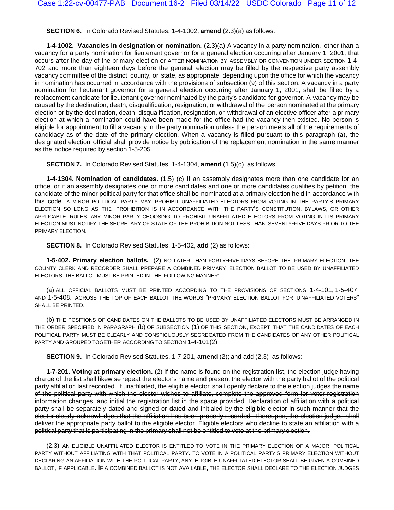**SECTION 6.** In Colorado Revised Statutes, 1-4-1002, **amend** (2.3)(a) as follows:

**1-4-1002. Vacancies in designation or nomination.** (2.3)(a) A vacancy in a party nomination, other than a vacancy for a party nomination for lieutenant governor for a general election occurring after January 1, 2001, that occurs after the day of the primary election or AFTER NOMINATION BY ASSEMBLY OR CONVENTION UNDER SECTION 1-4- 702 and more than eighteen days before the general election may be filled by the respective party assembly vacancy committee of the district, county, or state, as appropriate, depending upon the office for which the vacancy in nomination has occurred in accordance with the provisions of subsection (9) of this section. A vacancy in a party nomination for lieutenant governor for a general election occurring after January 1, 2001, shall be filled by a replacement candidate for lieutenant governor nominated by the party's candidate for governor. A vacancy may be caused by the declination, death, disqualification, resignation, or withdrawal of the person nominated at the primary election or by the declination, death, disqualification, resignation, or withdrawal of an elective officer after a primary election at which a nomination could have been made for the office had the vacancy then existed. No person is eligible for appointment to fill a vacancy in the party nomination unless the person meets all of the requirements of candidacy as of the date of the primary election. When a vacancy is filled pursuant to this paragraph (a), the designated election official shall provide notice by publication of the replacement nomination in the same manner as the notice required by section [1-5-205.](http://web.lexisnexis.com/research/buttonTFLink?_m=a27794a430dd03e7a3c1495740aa6528&_xfercite=%3ccite%20cc%3d%22USA%22%3e%3c%21%5bCDATA%5bC.R.S.%201-4-1002%5d%5d%3e%3c%2fcite%3e&_butType=4&_butStat=0&_butNum=2&_butInline=1&_butinfo=COCODE%201-5-205&_fmtstr=FULL&docnum=6&_startdoc=1&wchp=dGLbVzB-zSkAb&_md5=5583209ea29711073a1d96c5e6ce2d71)

**SECTION 7.** In Colorado Revised Statutes, 1-4-1304, **amend** (1.5)(c) as follows:

**1-4-1304. Nomination of candidates.** (1.5) (c) If an assembly designates more than one candidate for an office, or if an assembly designates one or more candidates and one or more candidates qualifies by petition, the candidate of the minor political party for that office shall be nominated at a primary election held in accordance with this code. A MINOR POLITICAL PARTY MAY PROHIBIT UNAFFILIATED ELECTORS FROM VOTING IN THE PARTY'S PRIMARY ELECTION SO LONG AS THE PROHIBITION IS IN ACCORDANCE WITH THE PARTY'S CONSTITUTION, BYLAWS, OR OTHER APPLICABLE RULES. ANY MINOR PARTY CHOOSING TO PROHIBIT UNAFFILIATED ELECTORS FROM VOTING IN ITS PRIMARY ELECTION MUST NOTIFY THE SECRETARY OF STATE OF THE PROHIBITION NOT LESS THAN SEVENTY-FIVE DAYS PRIOR TO THE PRIMARY ELECTION.

**SECTION 8.** In Colorado Revised Statutes, 1-5-402, **add** (2) as follows:

**1-5-402. Primary election ballots.** (2) NO LATER THAN FORTY-FIVE DAYS BEFORE THE PRIMARY ELECTION, THE COUNTY CLERK AND RECORDER SHALL PREPARE A COMBINED PRIMARY ELECTION BALLOT TO BE USED BY UNAFFILIATED ELECTORS. THE BALLOT MUST BE PRINTED IN THE FOLLOWING MANNER:

(a) ALL OFFICIAL BALLOTS MUST BE PRINTED ACCORDING TO THE PROVISIONS OF SECTIONS 1-4-101, 1-5-407, AND 1-5-408. ACROSS THE TOP OF EACH BALLOT THE WORDS "PRIMARY ELECTION BALLOT FOR U NAFFILIATED VOTERS" SHALL BE PRINTED.

(b) THE POSITIONS OF CANDIDATES ON THE BALLOTS TO BE USED BY UNAFFILIATED ELECTORS MUST BE ARRANGED IN THE ORDER SPECIFIED IN PARAGRAPH (b) OF SUBSECTION (1) OF THIS SECTION; EXCEPT THAT THE CANDIDATES OF EACH POLITICAL PARTY MUST BE CLEARLY AND CONSPICUOUSLY SEGREGATED FROM THE CANDIDATES OF ANY OTHER POLITICAL PARTY AND GROUPED TOGETHER ACCORDING TO SECTION 1-4-101(2).

**SECTION 9.** In Colorado Revised Statutes, 1-7-201, **amend** (2); and add (2.3) as follows:

**1-7-201. Voting at primary election.** (2) If the name is found on the registration list, the election judge having charge of the list shall likewise repeat the elector's name and present the elector with the party ballot of the political party affiliation last recorded. If unaffiliated, the eligible elector shall openly declare to the election judges the name of the political party with which the elector wishes to affiliate, complete the approved form for voter registration information changes, and initial the registration list in the space provided. Declaration of affiliation with a political party shall be separately dated and signed or dated and initialed by the eligible elector in such manner that the elector clearly acknowledges that the affiliation has been properly recorded. Thereupon, the election judges shall deliver the appropriate party ballot to the eligible elector. Eligible electors who decline to state an affiliation with a political party that is participating in the primary shall not be entitled to vote at the primary election.

(2.3) AN ELIGIBLE UNAFFILIATED ELECTOR IS ENTITLED TO VOTE IN THE PRIMARY ELECTION OF A MAJOR POLITICAL PARTY WITHOUT AFFILIATING WITH THAT POLITICAL PARTY. TO VOTE IN A POLITICAL PARTY'S PRIMARY ELECTION WITHOUT DECLARING AN AFFILIATION WITH THE POLITICAL PARTY, ANY ELIGIBLE UNAFFILIATED ELECTOR SHALL BE GIVEN A COMBINED BALLOT, IF APPLICABLE. IF A COMBINED BALLOT IS NOT AVAILABLE, THE ELECTOR SHALL DECLARE TO THE ELECTION JUDGES